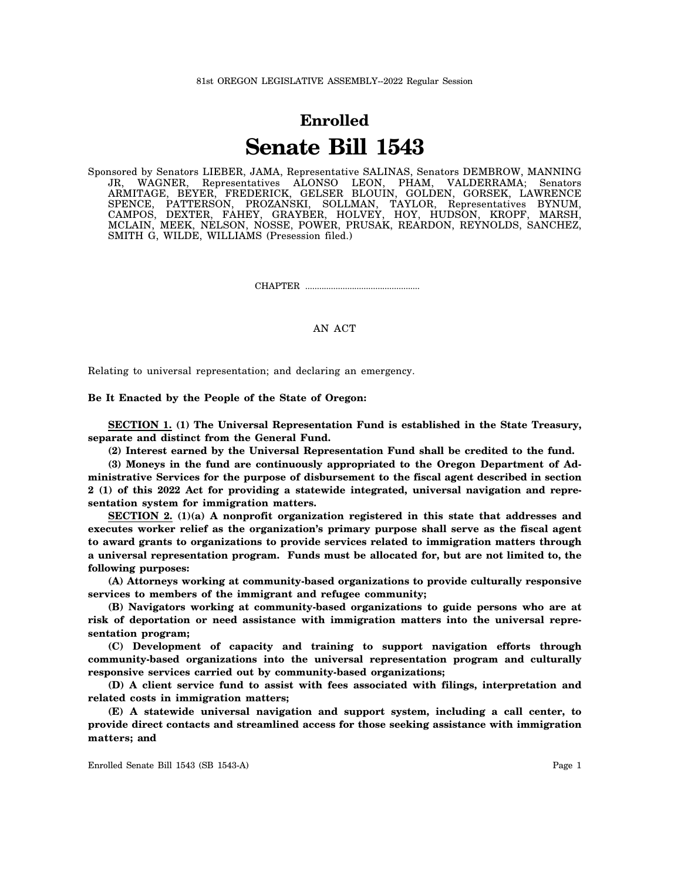## **Enrolled Senate Bill 1543**

Sponsored by Senators LIEBER, JAMA, Representative SALINAS, Senators DEMBROW, MANNING JR, WAGNER, Representatives ALONSO LEON, PHAM, VALDERRAMA; Senators ARMITAGE, BEYER, FREDERICK, GELSER BLOUIN, GOLDEN, GORSEK, LAWRENCE SPENCE, PATTERSON, PROZANSKI, SOLLMAN, TAYLOR, Representatives BYNUM, CAMPOS, DEXTER, FAHEY, GRAYBER, HOLVEY, HOY, HUDSON, KROPF, MARSH, MCLAIN, MEEK, NELSON, NOSSE, POWER, PRUSAK, REARDON, REYNOLDS, SANCHEZ, SMITH G, WILDE, WILLIAMS (Presession filed.)

CHAPTER .................................................

AN ACT

Relating to universal representation; and declaring an emergency.

## **Be It Enacted by the People of the State of Oregon:**

**SECTION 1. (1) The Universal Representation Fund is established in the State Treasury, separate and distinct from the General Fund.**

**(2) Interest earned by the Universal Representation Fund shall be credited to the fund.**

**(3) Moneys in the fund are continuously appropriated to the Oregon Department of Administrative Services for the purpose of disbursement to the fiscal agent described in section 2 (1) of this 2022 Act for providing a statewide integrated, universal navigation and representation system for immigration matters.**

**SECTION 2. (1)(a) A nonprofit organization registered in this state that addresses and executes worker relief as the organization's primary purpose shall serve as the fiscal agent to award grants to organizations to provide services related to immigration matters through a universal representation program. Funds must be allocated for, but are not limited to, the following purposes:**

**(A) Attorneys working at community-based organizations to provide culturally responsive services to members of the immigrant and refugee community;**

**(B) Navigators working at community-based organizations to guide persons who are at risk of deportation or need assistance with immigration matters into the universal representation program;**

**(C) Development of capacity and training to support navigation efforts through community-based organizations into the universal representation program and culturally responsive services carried out by community-based organizations;**

**(D) A client service fund to assist with fees associated with filings, interpretation and related costs in immigration matters;**

**(E) A statewide universal navigation and support system, including a call center, to provide direct contacts and streamlined access for those seeking assistance with immigration matters; and**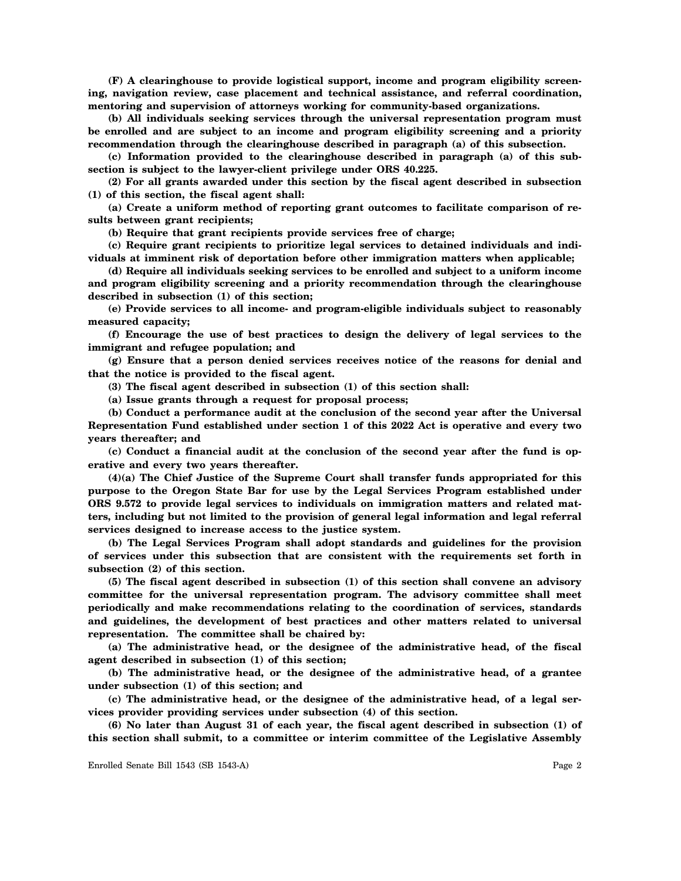**(F) A clearinghouse to provide logistical support, income and program eligibility screening, navigation review, case placement and technical assistance, and referral coordination, mentoring and supervision of attorneys working for community-based organizations.**

**(b) All individuals seeking services through the universal representation program must be enrolled and are subject to an income and program eligibility screening and a priority recommendation through the clearinghouse described in paragraph (a) of this subsection.**

**(c) Information provided to the clearinghouse described in paragraph (a) of this subsection is subject to the lawyer-client privilege under ORS 40.225.**

**(2) For all grants awarded under this section by the fiscal agent described in subsection (1) of this section, the fiscal agent shall:**

**(a) Create a uniform method of reporting grant outcomes to facilitate comparison of results between grant recipients;**

**(b) Require that grant recipients provide services free of charge;**

**(c) Require grant recipients to prioritize legal services to detained individuals and individuals at imminent risk of deportation before other immigration matters when applicable;**

**(d) Require all individuals seeking services to be enrolled and subject to a uniform income and program eligibility screening and a priority recommendation through the clearinghouse described in subsection (1) of this section;**

**(e) Provide services to all income- and program-eligible individuals subject to reasonably measured capacity;**

**(f) Encourage the use of best practices to design the delivery of legal services to the immigrant and refugee population; and**

**(g) Ensure that a person denied services receives notice of the reasons for denial and that the notice is provided to the fiscal agent.**

**(3) The fiscal agent described in subsection (1) of this section shall:**

**(a) Issue grants through a request for proposal process;**

**(b) Conduct a performance audit at the conclusion of the second year after the Universal Representation Fund established under section 1 of this 2022 Act is operative and every two years thereafter; and**

**(c) Conduct a financial audit at the conclusion of the second year after the fund is operative and every two years thereafter.**

**(4)(a) The Chief Justice of the Supreme Court shall transfer funds appropriated for this purpose to the Oregon State Bar for use by the Legal Services Program established under ORS 9.572 to provide legal services to individuals on immigration matters and related matters, including but not limited to the provision of general legal information and legal referral services designed to increase access to the justice system.**

**(b) The Legal Services Program shall adopt standards and guidelines for the provision of services under this subsection that are consistent with the requirements set forth in subsection (2) of this section.**

**(5) The fiscal agent described in subsection (1) of this section shall convene an advisory committee for the universal representation program. The advisory committee shall meet periodically and make recommendations relating to the coordination of services, standards and guidelines, the development of best practices and other matters related to universal representation. The committee shall be chaired by:**

**(a) The administrative head, or the designee of the administrative head, of the fiscal agent described in subsection (1) of this section;**

**(b) The administrative head, or the designee of the administrative head, of a grantee under subsection (1) of this section; and**

**(c) The administrative head, or the designee of the administrative head, of a legal services provider providing services under subsection (4) of this section.**

**(6) No later than August 31 of each year, the fiscal agent described in subsection (1) of this section shall submit, to a committee or interim committee of the Legislative Assembly**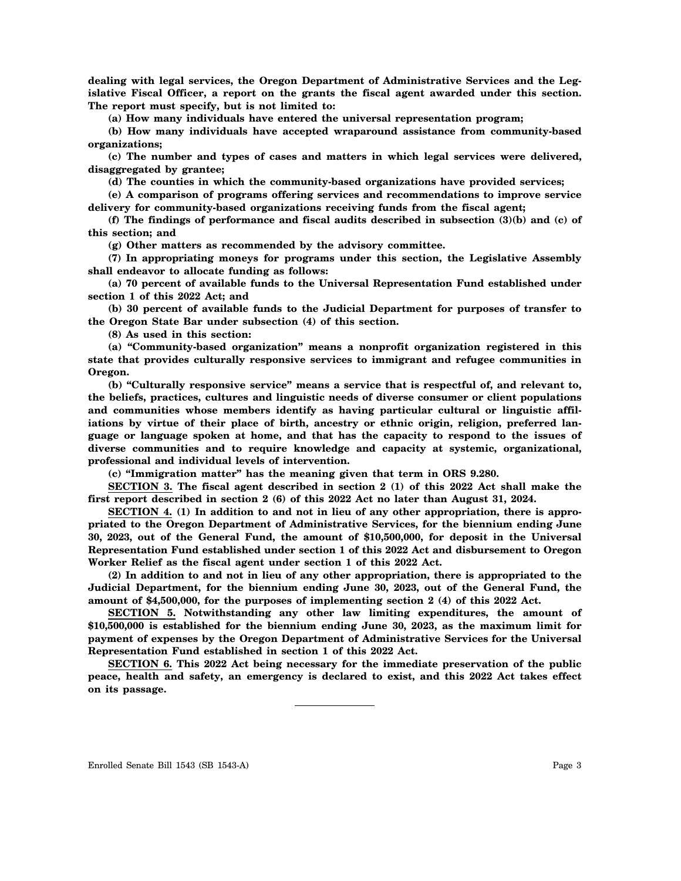**dealing with legal services, the Oregon Department of Administrative Services and the Legislative Fiscal Officer, a report on the grants the fiscal agent awarded under this section. The report must specify, but is not limited to:**

**(a) How many individuals have entered the universal representation program;**

**(b) How many individuals have accepted wraparound assistance from community-based organizations;**

**(c) The number and types of cases and matters in which legal services were delivered, disaggregated by grantee;**

**(d) The counties in which the community-based organizations have provided services;**

**(e) A comparison of programs offering services and recommendations to improve service delivery for community-based organizations receiving funds from the fiscal agent;**

**(f) The findings of performance and fiscal audits described in subsection (3)(b) and (c) of this section; and**

**(g) Other matters as recommended by the advisory committee.**

**(7) In appropriating moneys for programs under this section, the Legislative Assembly shall endeavor to allocate funding as follows:**

**(a) 70 percent of available funds to the Universal Representation Fund established under section 1 of this 2022 Act; and**

**(b) 30 percent of available funds to the Judicial Department for purposes of transfer to the Oregon State Bar under subsection (4) of this section.**

**(8) As used in this section:**

**(a) "Community-based organization" means a nonprofit organization registered in this state that provides culturally responsive services to immigrant and refugee communities in Oregon.**

**(b) "Culturally responsive service" means a service that is respectful of, and relevant to, the beliefs, practices, cultures and linguistic needs of diverse consumer or client populations and communities whose members identify as having particular cultural or linguistic affiliations by virtue of their place of birth, ancestry or ethnic origin, religion, preferred language or language spoken at home, and that has the capacity to respond to the issues of diverse communities and to require knowledge and capacity at systemic, organizational, professional and individual levels of intervention.**

**(c) "Immigration matter" has the meaning given that term in ORS 9.280.**

**SECTION 3. The fiscal agent described in section 2 (1) of this 2022 Act shall make the first report described in section 2 (6) of this 2022 Act no later than August 31, 2024.**

**SECTION 4. (1) In addition to and not in lieu of any other appropriation, there is appropriated to the Oregon Department of Administrative Services, for the biennium ending June 30, 2023, out of the General Fund, the amount of \$10,500,000, for deposit in the Universal Representation Fund established under section 1 of this 2022 Act and disbursement to Oregon Worker Relief as the fiscal agent under section 1 of this 2022 Act.**

**(2) In addition to and not in lieu of any other appropriation, there is appropriated to the Judicial Department, for the biennium ending June 30, 2023, out of the General Fund, the amount of \$4,500,000, for the purposes of implementing section 2 (4) of this 2022 Act.**

**SECTION 5. Notwithstanding any other law limiting expenditures, the amount of \$10,500,000 is established for the biennium ending June 30, 2023, as the maximum limit for payment of expenses by the Oregon Department of Administrative Services for the Universal Representation Fund established in section 1 of this 2022 Act.**

**SECTION 6. This 2022 Act being necessary for the immediate preservation of the public peace, health and safety, an emergency is declared to exist, and this 2022 Act takes effect on its passage.**